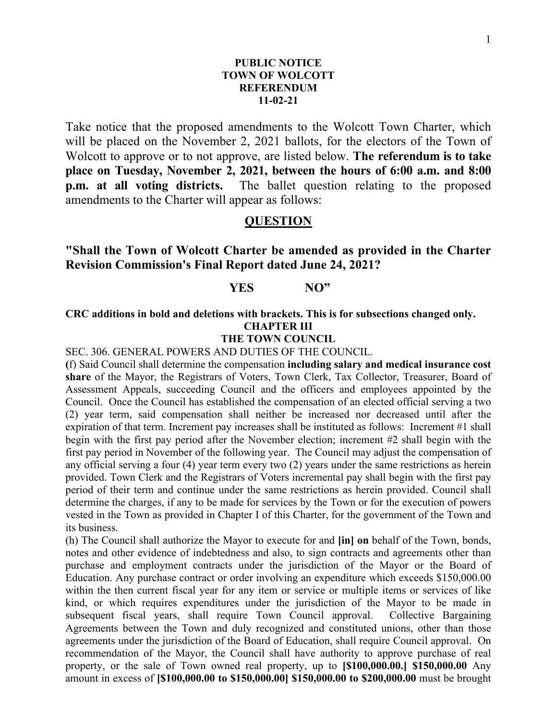#### **PUBLIC NOTICE TOWN OF WOLCOTT REFERENDUM 11-02-21**

Take notice that the proposed amendments to the Wolcott Town Charter, which will be placed on the November 2, 2021 ballots, for the electors of the Town of Wolcott to approve or to not approve, are listed below. **The referendum is to take place on Tuesday, November 2, 2021, between the hours of 6:00 a.m. and 8:00 p.m. at all voting districts.** The ballet question relating to the proposed amendments to the Charter will appear as follows:

### **QUESTION**

# **"Shall the Town of Wolcott Charter be amended as provided in the Charter Revision Commission's Final Report dated June 24, 2021?**

# **YES NO"**

## **CRC additions in bold and deletions with brackets. This is for subsections changed only. CHAPTER III**

#### **THE TOWN COUNCIL**

SEC. 306. GENERAL POWERS AND DUTIES OF THE COUNCIL.

**(**f) Said Council shall determine the compensation **including salary and medical insurance cost share** of the Mayor, the Registrars of Voters, Town Clerk, Tax Collector, Treasurer, Board of Assessment Appeals, succeeding Council and the officers and employees appointed by the Council. Once the Council has established the compensation of an elected official serving a two (2) year term, said compensation shall neither be increased nor decreased until after the expiration of that term. Increment pay increases shall be instituted as follows: Increment #1 shall begin with the first pay period after the November election; increment #2 shall begin with the first pay period in November of the following year. The Council may adjust the compensation of any official serving a four (4) year term every two (2) years under the same restrictions as herein provided. Town Clerk and the Registrars of Voters incremental pay shall begin with the first pay period of their term and continue under the same restrictions as herein provided. Council shall determine the charges, if any to be made for services by the Town or for the execution of powers vested in the Town as provided in Chapter I of this Charter, for the government of the Town and its business.

(h) The Council shall authorize the Mayor to execute for and **[in] on** behalf of the Town, bonds, notes and other evidence of indebtedness and also, to sign contracts and agreements other than purchase and employment contracts under the jurisdiction of the Mayor or the Board of Education. Any purchase contract or order involving an expenditure which exceeds \$150,000.00 within the then current fiscal year for any item or service or multiple items or services of like kind, or which requires expenditures under the jurisdiction of the Mayor to be made in subsequent fiscal years, shall require Town Council approval. Collective Bargaining Agreements between the Town and duly recognized and constituted unions, other than those agreements under the jurisdiction of the Board of Education, shall require Council approval. On recommendation of the Mayor, the Council shall have authority to approve purchase of real property, or the sale of Town owned real property, up to **[\$100,000.00.] \$150,000.00** Any amount in excess of **[\$100,000.00 to \$150,000.00] \$150,000.00 to \$200,000.00** must be brought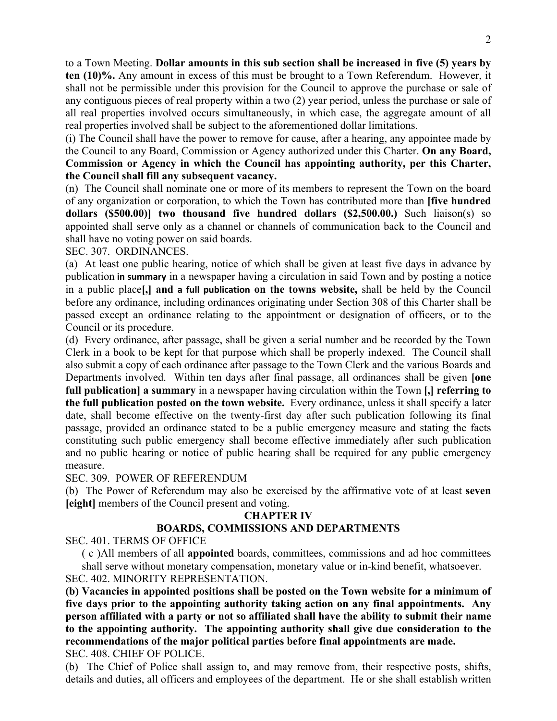to a Town Meeting. **Dollar amounts in this sub section shall be increased in five (5) years by ten (10)%.** Any amount in excess of this must be brought to a Town Referendum. However, it shall not be permissible under this provision for the Council to approve the purchase or sale of any contiguous pieces of real property within a two (2) year period, unless the purchase or sale of all real properties involved occurs simultaneously, in which case, the aggregate amount of all real properties involved shall be subject to the aforementioned dollar limitations.

(i) The Council shall have the power to remove for cause, after a hearing, any appointee made by the Council to any Board, Commission or Agency authorized under this Charter. **On any Board, Commission or Agency in which the Council has appointing authority, per this Charter, the Council shall fill any subsequent vacancy.**

(n) The Council shall nominate one or more of its members to represent the Town on the board of any organization or corporation, to which the Town has contributed more than **[five hundred dollars (\$500.00)] two thousand five hundred dollars (\$2,500.00.)** Such liaison(s) so appointed shall serve only as a channel or channels of communication back to the Council and shall have no voting power on said boards.

SEC. 307. ORDINANCES.

(a) At least one public hearing, notice of which shall be given at least five days in advance by publication **in summary** in a newspaper having a circulation in said Town and by posting a notice in a public place**[,] and a full publication on the towns website,** shall be held by the Council before any ordinance, including ordinances originating under Section 308 of this Charter shall be passed except an ordinance relating to the appointment or designation of officers, or to the Council or its procedure.

(d) Every ordinance, after passage, shall be given a serial number and be recorded by the Town Clerk in a book to be kept for that purpose which shall be properly indexed. The Council shall also submit a copy of each ordinance after passage to the Town Clerk and the various Boards and Departments involved. Within ten days after final passage, all ordinances shall be given **[one full publication] a summary** in a newspaper having circulation within the Town **[,] referring to the full publication posted on the town website.** Every ordinance, unless it shall specify a later date, shall become effective on the twenty-first day after such publication following its final passage, provided an ordinance stated to be a public emergency measure and stating the facts constituting such public emergency shall become effective immediately after such publication and no public hearing or notice of public hearing shall be required for any public emergency measure.

SEC. 309. POWER OF REFERENDUM

(b) The Power of Referendum may also be exercised by the affirmative vote of at least **seven [eight]** members of the Council present and voting.

## **CHAPTER IV**

## **BOARDS, COMMISSIONS AND DEPARTMENTS**

SEC. 401. TERMS OF OFFICE

( c )All members of all **appointed** boards, committees, commissions and ad hoc committees shall serve without monetary compensation, monetary value or in-kind benefit, whatsoever.

SEC. 402. MINORITY REPRESENTATION.

**(b) Vacancies in appointed positions shall be posted on the Town website for a minimum of five days prior to the appointing authority taking action on any final appointments. Any person affiliated with a party or not so affiliated shall have the ability to submit their name to the appointing authority. The appointing authority shall give due consideration to the recommendations of the major political parties before final appointments are made.** SEC. 408. CHIEF OF POLICE.

(b) The Chief of Police shall assign to, and may remove from, their respective posts, shifts, details and duties, all officers and employees of the department. He or she shall establish written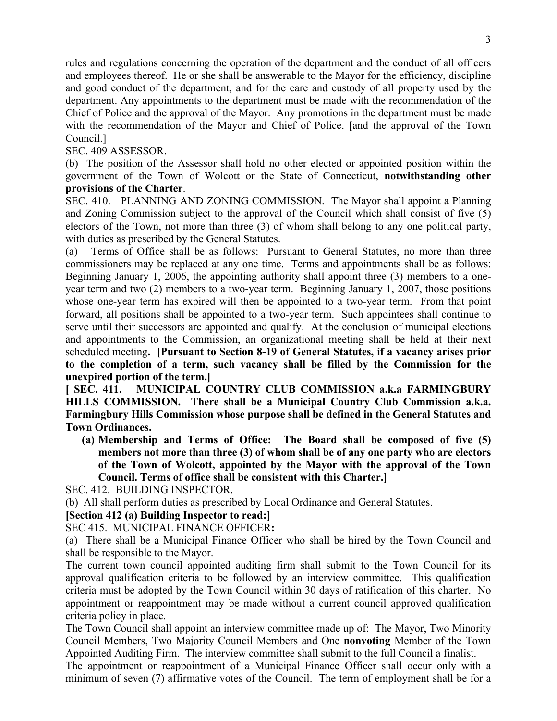rules and regulations concerning the operation of the department and the conduct of all officers and employees thereof. He or she shall be answerable to the Mayor for the efficiency, discipline and good conduct of the department, and for the care and custody of all property used by the department. Any appointments to the department must be made with the recommendation of the Chief of Police and the approval of the Mayor. Any promotions in the department must be made with the recommendation of the Mayor and Chief of Police. [and the approval of the Town Council.]

SEC. 409 ASSESSOR.

(b) The position of the Assessor shall hold no other elected or appointed position within the government of the Town of Wolcott or the State of Connecticut, **notwithstanding other provisions of the Charter**.

SEC. 410. PLANNING AND ZONING COMMISSION. The Mayor shall appoint a Planning and Zoning Commission subject to the approval of the Council which shall consist of five (5) electors of the Town, not more than three (3) of whom shall belong to any one political party, with duties as prescribed by the General Statutes.

(a) Terms of Office shall be as follows: Pursuant to General Statutes, no more than three commissioners may be replaced at any one time. Terms and appointments shall be as follows: Beginning January 1, 2006, the appointing authority shall appoint three (3) members to a oneyear term and two (2) members to a two-year term. Beginning January 1, 2007, those positions whose one-year term has expired will then be appointed to a two-year term. From that point forward, all positions shall be appointed to a two-year term. Such appointees shall continue to serve until their successors are appointed and qualify. At the conclusion of municipal elections and appointments to the Commission, an organizational meeting shall be held at their next scheduled meeting**. [Pursuant to Section 8-19 of General Statutes, if a vacancy arises prior to the completion of a term, such vacancy shall be filled by the Commission for the unexpired portion of the term.]** 

**[ SEC. 411. MUNICIPAL COUNTRY CLUB COMMISSION a.k.a FARMINGBURY HILLS COMMISSION. There shall be a Municipal Country Club Commission a.k.a. Farmingbury Hills Commission whose purpose shall be defined in the General Statutes and Town Ordinances.** 

**(a) Membership and Terms of Office: The Board shall be composed of five (5) members not more than three (3) of whom shall be of any one party who are electors of the Town of Wolcott, appointed by the Mayor with the approval of the Town Council. Terms of office shall be consistent with this Charter.]** 

SEC. 412. BUILDING INSPECTOR.

(b) All shall perform duties as prescribed by Local Ordinance and General Statutes.

## **[Section 412 (a) Building Inspector to read:]**

SEC 415. MUNICIPAL FINANCE OFFICER**:**

(a)There shall be a Municipal Finance Officer who shall be hired by the Town Council and shall be responsible to the Mayor.

The current town council appointed auditing firm shall submit to the Town Council for its approval qualification criteria to be followed by an interview committee. This qualification criteria must be adopted by the Town Council within 30 days of ratification of this charter. No appointment or reappointment may be made without a current council approved qualification criteria policy in place.

The Town Council shall appoint an interview committee made up of: The Mayor, Two Minority Council Members, Two Majority Council Members and One **nonvoting** Member of the Town Appointed Auditing Firm. The interview committee shall submit to the full Council a finalist.

The appointment or reappointment of a Municipal Finance Officer shall occur only with a minimum of seven (7) affirmative votes of the Council. The term of employment shall be for a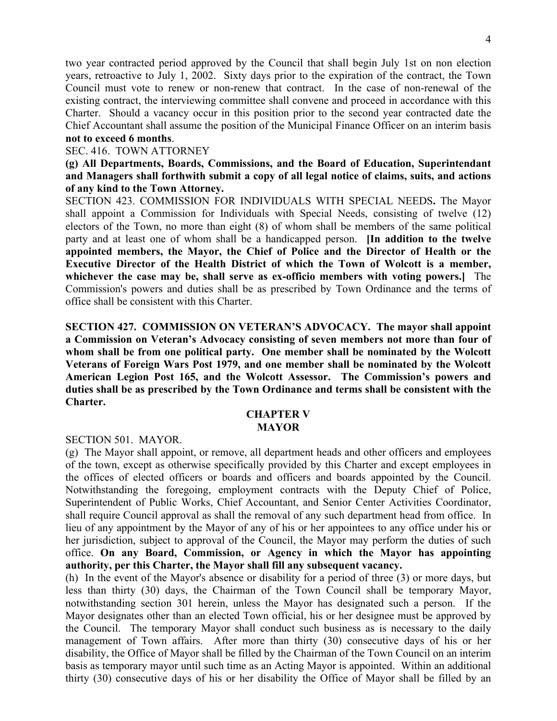two year contracted period approved by the Council that shall begin July 1st on non election years, retroactive to July 1, 2002. Sixty days prior to the expiration of the contract, the Town Council must vote to renew or non-renew that contract. In the case of non-renewal of the existing contract, the interviewing committee shall convene and proceed in accordance with this Charter.Should a vacancy occur in this position prior to the second year contracted date the Chief Accountant shall assume the position of the Municipal Finance Officer on an interim basis **not to exceed 6 months**.

#### SEC. 416. TOWN ATTORNEY

**(g) All Departments, Boards, Commissions, and the Board of Education, Superintendant and Managers shall forthwith submit a copy of all legal notice of claims, suits, and actions of any kind to the Town Attorney.** 

SECTION 423. COMMISSION FOR INDIVIDUALS WITH SPECIAL NEEDS**.** The Mayor shall appoint a Commission for Individuals with Special Needs, consisting of twelve (12) electors of the Town, no more than eight (8) of whom shall be members of the same political party and at least one of whom shall be a handicapped person. **[In addition to the twelve appointed members, the Mayor, the Chief of Police and the Director of Health or the Executive Director of the Health District of which the Town of Wolcott is a member, whichever the case may be, shall serve as ex-officio members with voting powers.]** The Commission's powers and duties shall be as prescribed by Town Ordinance and the terms of office shall be consistent with this Charter.

**SECTION 427. COMMISSION ON VETERAN'S ADVOCACY. The mayor shall appoint a Commission on Veteran's Advocacy consisting of seven members not more than four of whom shall be from one political party. One member shall be nominated by the Wolcott Veterans of Foreign Wars Post 1979, and one member shall be nominated by the Wolcott American Legion Post 165, and the Wolcott Assessor. The Commission's powers and duties shall be as prescribed by the Town Ordinance and terms shall be consistent with the Charter.**

#### **CHAPTER V MAYOR**

SECTION 501. MAYOR.

(g) The Mayor shall appoint, or remove, all department heads and other officers and employees of the town, except as otherwise specifically provided by this Charter and except employees in the offices of elected officers or boards and officers and boards appointed by the Council. Notwithstanding the foregoing, employment contracts with the Deputy Chief of Police, Superintendent of Public Works, Chief Accountant, and Senior Center Activities Coordinator, shall require Council approval as shall the removal of any such department head from office. In lieu of any appointment by the Mayor of any of his or her appointees to any office under his or her jurisdiction, subject to approval of the Council, the Mayor may perform the duties of such office. **On any Board, Commission, or Agency in which the Mayor has appointing authority, per this Charter, the Mayor shall fill any subsequent vacancy.**

(h) In the event of the Mayor's absence or disability for a period of three (3) or more days, but less than thirty (30) days, the Chairman of the Town Council shall be temporary Mayor, notwithstanding section 301 herein, unless the Mayor has designated such a person. If the Mayor designates other than an elected Town official, his or her designee must be approved by the Council. The temporary Mayor shall conduct such business as is necessary to the daily management of Town affairs. After more than thirty (30) consecutive days of his or her disability, the Office of Mayor shall be filled by the Chairman of the Town Council on an interim basis as temporary mayor until such time as an Acting Mayor is appointed. Within an additional thirty (30) consecutive days of his or her disability the Office of Mayor shall be filled by an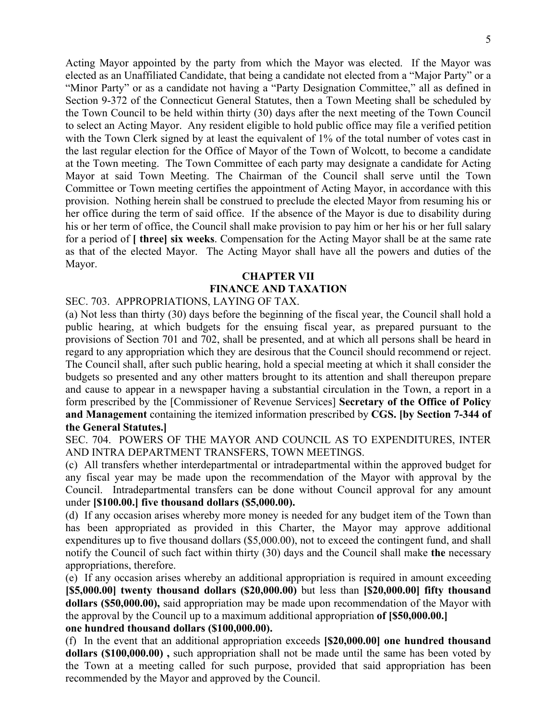Acting Mayor appointed by the party from which the Mayor was elected. If the Mayor was elected as an Unaffiliated Candidate, that being a candidate not elected from a "Major Party" or a "Minor Party" or as a candidate not having a "Party Designation Committee," all as defined in Section 9-372 of the Connecticut General Statutes, then a Town Meeting shall be scheduled by the Town Council to be held within thirty (30) days after the next meeting of the Town Council to select an Acting Mayor. Any resident eligible to hold public office may file a verified petition with the Town Clerk signed by at least the equivalent of 1% of the total number of votes cast in the last regular election for the Office of Mayor of the Town of Wolcott, to become a candidate at the Town meeting. The Town Committee of each party may designate a candidate for Acting Mayor at said Town Meeting. The Chairman of the Council shall serve until the Town Committee or Town meeting certifies the appointment of Acting Mayor, in accordance with this provision. Nothing herein shall be construed to preclude the elected Mayor from resuming his or her office during the term of said office. If the absence of the Mayor is due to disability during his or her term of office, the Council shall make provision to pay him or her his or her full salary for a period of **[ three] six weeks**. Compensation for the Acting Mayor shall be at the same rate as that of the elected Mayor. The Acting Mayor shall have all the powers and duties of the Mayor.

# **CHAPTER VII FINANCE AND TAXATION**

SEC. 703. APPROPRIATIONS, LAYING OF TAX.

(a) Not less than thirty (30) days before the beginning of the fiscal year, the Council shall hold a public hearing, at which budgets for the ensuing fiscal year, as prepared pursuant to the provisions of Section 701 and 702, shall be presented, and at which all persons shall be heard in regard to any appropriation which they are desirous that the Council should recommend or reject. The Council shall, after such public hearing, hold a special meeting at which it shall consider the budgets so presented and any other matters brought to its attention and shall thereupon prepare and cause to appear in a newspaper having a substantial circulation in the Town, a report in a form prescribed by the [Commissioner of Revenue Services] **Secretary of the Office of Policy and Management** containing the itemized information prescribed by **CGS. [by Section 7-344 of the General Statutes.]** 

SEC. 704. POWERS OF THE MAYOR AND COUNCIL AS TO EXPENDITURES, INTER AND INTRA DEPARTMENT TRANSFERS, TOWN MEETINGS.

(c) All transfers whether interdepartmental or intradepartmental within the approved budget for any fiscal year may be made upon the recommendation of the Mayor with approval by the Council. Intradepartmental transfers can be done without Council approval for any amount under **[\$100.00.] five thousand dollars (\$5,000.00).** 

(d) If any occasion arises whereby more money is needed for any budget item of the Town than has been appropriated as provided in this Charter, the Mayor may approve additional expenditures up to five thousand dollars (\$5,000.00), not to exceed the contingent fund, and shall notify the Council of such fact within thirty (30) days and the Council shall make **the** necessary appropriations, therefore.

(e) If any occasion arises whereby an additional appropriation is required in amount exceeding **[\$5,000.00] twenty thousand dollars (\$20,000.00)** but less than **[\$20,000.00] fifty thousand dollars (\$50,000.00),** said appropriation may be made upon recommendation of the Mayor with the approval by the Council up to a maximum additional appropriation **of [\$50,000.00.] one hundred thousand dollars (\$100,000.00).** 

(f) In the event that an additional appropriation exceeds **[\$20,000.00] one hundred thousand dollars (\$100,000.00) ,** such appropriation shall not be made until the same has been voted by the Town at a meeting called for such purpose, provided that said appropriation has been recommended by the Mayor and approved by the Council.